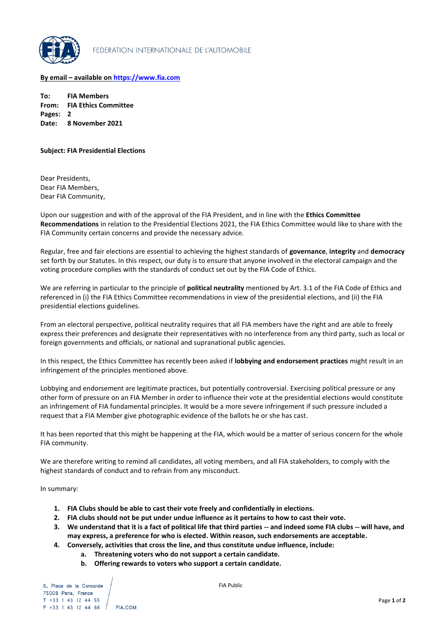

## **By email – available o[n https://www.fia.com](https://www.fia.com/recommendations-ethics-committee)**

**To: FIA Members From: FIA Ethics Committee Pages: 2 Date: 8 November 2021**

## **Subject: FIA Presidential Elections**

Dear Presidents, Dear FIA Members, Dear FIA Community,

Upon our suggestion and with of the approval of the FIA President, and in line with the **Ethics Committee Recommendations** in relation to the Presidential Elections 2021, the FIA Ethics Committee would like to share with the FIA Community certain concerns and provide the necessary advice.

Regular, free and fair elections are essential to achieving the highest standards of **governance**, **integrity** and **democracy** set forth by our Statutes. In this respect, our duty is to ensure that anyone involved in the electoral campaign and the voting procedure complies with the standards of conduct set out by the FIA Code of Ethics.

We are referring in particular to the principle of **political neutrality** mentioned by Art. 3.1 of the FIA Code of Ethics and referenced in (i) the FIA Ethics Committee recommendations in view of the presidential elections, and (ii) the FIA presidential elections guidelines.

From an electoral perspective, political neutrality requires that all FIA members have the right and are able to freely express their preferences and designate their representatives with no interference from any third party, such as local or foreign governments and officials, or national and supranational public agencies.

In this respect, the Ethics Committee has recently been asked if **lobbying and endorsement practices** might result in an infringement of the principles mentioned above.

Lobbying and endorsement are legitimate practices, but potentially controversial. Exercising political pressure or any other form of pressure on an FIA Member in order to influence their vote at the presidential elections would constitute an infringement of FIA fundamental principles. It would be a more severe infringement if such pressure included a request that a FIA Member give photographic evidence of the ballots he or she has cast.

It has been reported that this might be happening at the FIA, which would be a matter of serious concern for the whole FIA community.

We are therefore writing to remind all candidates, all voting members, and all FIA stakeholders, to comply with the highest standards of conduct and to refrain from any misconduct.

In summary:

- **1. FIA Clubs should be able to cast their vote freely and confidentially in elections.**
- **2. FIA clubs should not be put under undue influence as it pertains to how to cast their vote.**
- **3. We understand that it is a fact of political life that third parties -- and indeed some FIA clubs -- will have, and may express, a preference for who is elected. Within reason, such endorsements are acceptable.**
- **4. Conversely, activities that cross the line, and thus constitute undue influence, include:**
	- **a. Threatening voters who do not support a certain candidate.**
	- **b. Offering rewards to voters who support a certain candidate.**